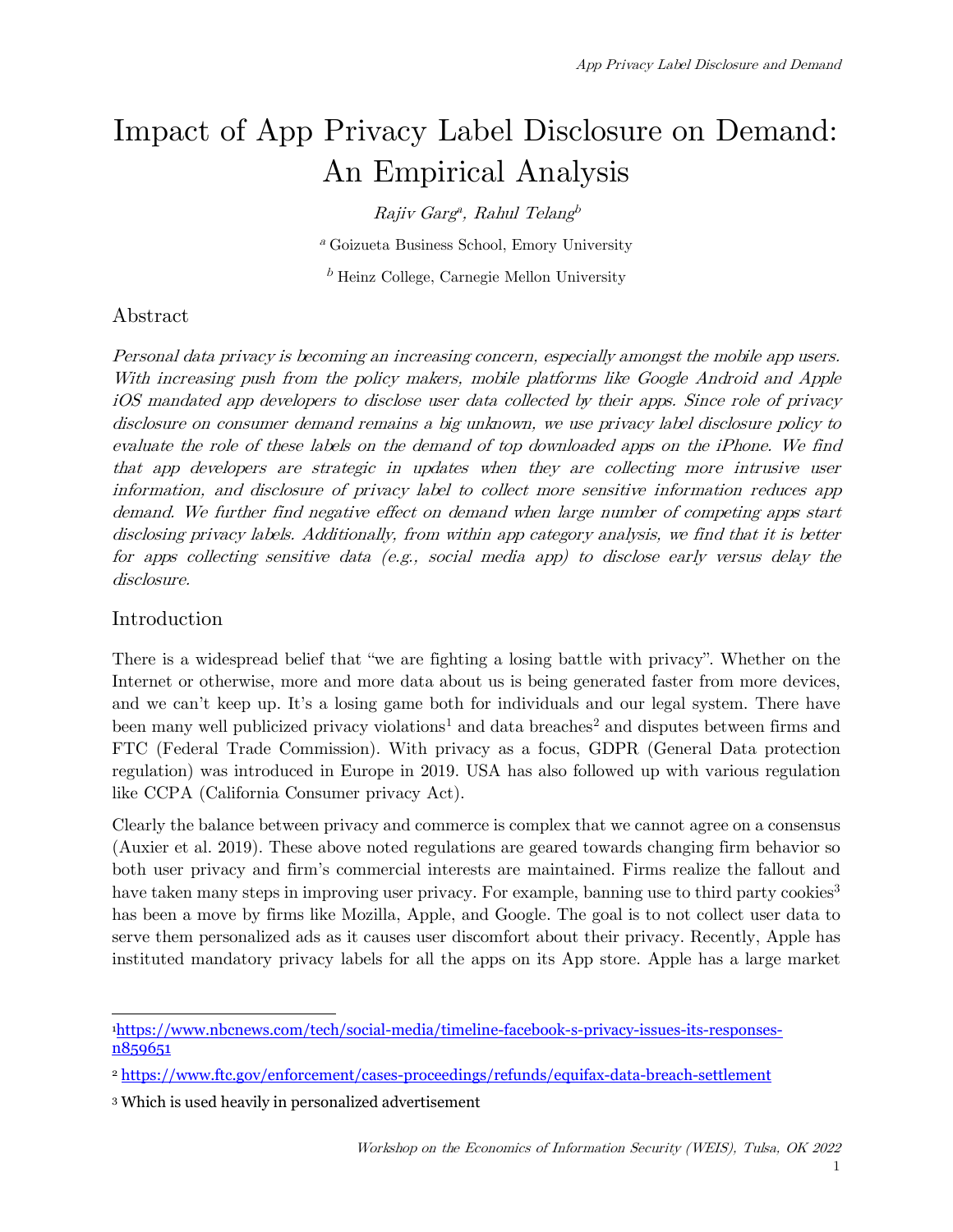# Impact of App Privacy Label Disclosure on Demand: An Empirical Analysis

 $Rajiv$  Garg<sup>a</sup>, Rahul Telang<sup>b</sup>

<sup>a</sup> Goizueta Business School, Emory University

 $b$  Heinz College, Carnegie Mellon University

# Abstract

Personal data privacy is becoming an increasing concern, especially amongst the mobile app users. With increasing push from the policy makers, mobile platforms like Google Android and Apple iOS mandated app developers to disclose user data collected by their apps. Since role of privacy disclosure on consumer demand remains a big unknown, we use privacy label disclosure policy to evaluate the role of these labels on the demand of top downloaded apps on the iPhone. We find that app developers are strategic in updates when they are collecting more intrusive user information, and disclosure of privacy label to collect more sensitive information reduces app demand. We further find negative effect on demand when large number of competing apps start disclosing privacy labels. Additionally, from within app category analysis, we find that it is better for apps collecting sensitive data (e.g., social media app) to disclose early versus delay the disclosure.

# Introduction

There is a widespread belief that "we are fighting a losing battle with privacy". Whether on the Internet or otherwise, more and more data about us is being generated faster from more devices, and we can't keep up. It's a losing game both for individuals and our legal system. There have been many well publicized privacy violations<sup>[1](#page-0-0)</sup> and data breaches<sup>2</sup> and disputes between firms and FTC (Federal Trade Commission). With privacy as a focus, GDPR (General Data protection regulation) was introduced in Europe in 2019. USA has also followed up with various regulation like CCPA (California Consumer privacy Act).

Clearly the balance between privacy and commerce is complex that we cannot agree on a consensus (Auxier et al. 2019). These above noted regulations are geared towards changing firm behavior so both user privacy and firm's commercial interests are maintained. Firms realize the fallout and have taken many steps in improving user privacy. For example, banning use to third party cookies<sup>[3](#page-0-2)</sup> has been a move by firms like Mozilla, Apple, and Google. The goal is to not collect user data to serve them personalized ads as it causes user discomfort about their privacy. Recently, Apple has instituted mandatory privacy labels for all the apps on its App store. Apple has a large market

<span id="page-0-0"></span>[<sup>1</sup>https://www.nbcnews.com/tech/social-media/timeline-facebook-s-privacy-issues-its-responses](https://www.nbcnews.com/tech/social-media/timeline-facebook-s-privacy-issues-its-responses-n859651)[n859651](https://www.nbcnews.com/tech/social-media/timeline-facebook-s-privacy-issues-its-responses-n859651)

<span id="page-0-1"></span><sup>2</sup> <https://www.ftc.gov/enforcement/cases-proceedings/refunds/equifax-data-breach-settlement>

<span id="page-0-2"></span><sup>3</sup> Which is used heavily in personalized advertisement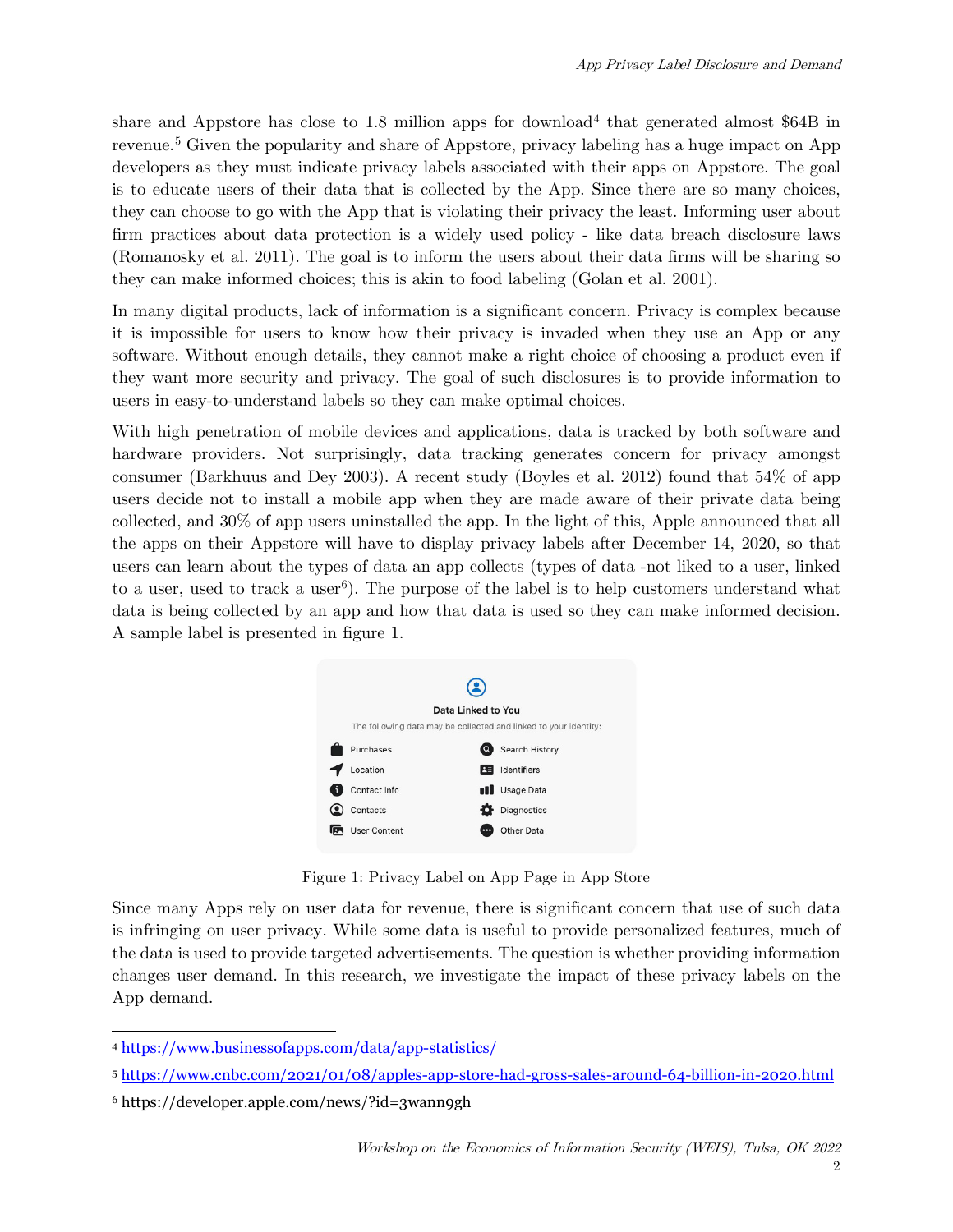share and Appstore has close to 1.8 million apps for download<sup>4</sup> that generated almost  $$64B$  in revenue.<sup>[5](#page-1-1)</sup> Given the popularity and share of Appstore, privacy labeling has a huge impact on App developers as they must indicate privacy labels associated with their apps on Appstore. The goal is to educate users of their data that is collected by the App. Since there are so many choices, they can choose to go with the App that is violating their privacy the least. Informing user about firm practices about data protection is a widely used policy - like data breach disclosure laws (Romanosky et al. 2011). The goal is to inform the users about their data firms will be sharing so they can make informed choices; this is akin to food labeling (Golan et al. 2001).

In many digital products, lack of information is a significant concern. Privacy is complex because it is impossible for users to know how their privacy is invaded when they use an App or any software. Without enough details, they cannot make a right choice of choosing a product even if they want more security and privacy. The goal of such disclosures is to provide information to users in easy-to-understand labels so they can make optimal choices.

With high penetration of mobile devices and applications, data is tracked by both software and hardware providers. Not surprisingly, data tracking generates concern for privacy amongst consumer (Barkhuus and Dey 2003). A recent study (Boyles et al. 2012) found that 54% of app users decide not to install a mobile app when they are made aware of their private data being collected, and 30% of app users uninstalled the app. In the light of this, Apple announced that all the apps on their Appstore will have to display privacy labels after December 14, 2020, so that users can learn about the types of data an app collects (types of data -not liked to a user, linked to a user, used to track a user<sup>6</sup>). The purpose of the label is to help customers understand what data is being collected by an app and how that data is used so they can make informed decision. A sample label is presented in figure 1.



Figure 1: Privacy Label on App Page in App Store

Since many Apps rely on user data for revenue, there is significant concern that use of such data is infringing on user privacy. While some data is useful to provide personalized features, much of the data is used to provide targeted advertisements. The question is whether providing information changes user demand. In this research, we investigate the impact of these privacy labels on the App demand.

<span id="page-1-0"></span><sup>4</sup> <https://www.businessofapps.com/data/app-statistics/>

<span id="page-1-1"></span><sup>5</sup> <https://www.cnbc.com/2021/01/08/apples-app-store-had-gross-sales-around-64-billion-in-2020.html>

<span id="page-1-2"></span><sup>6</sup> https://developer.apple.com/news/?id=3wann9gh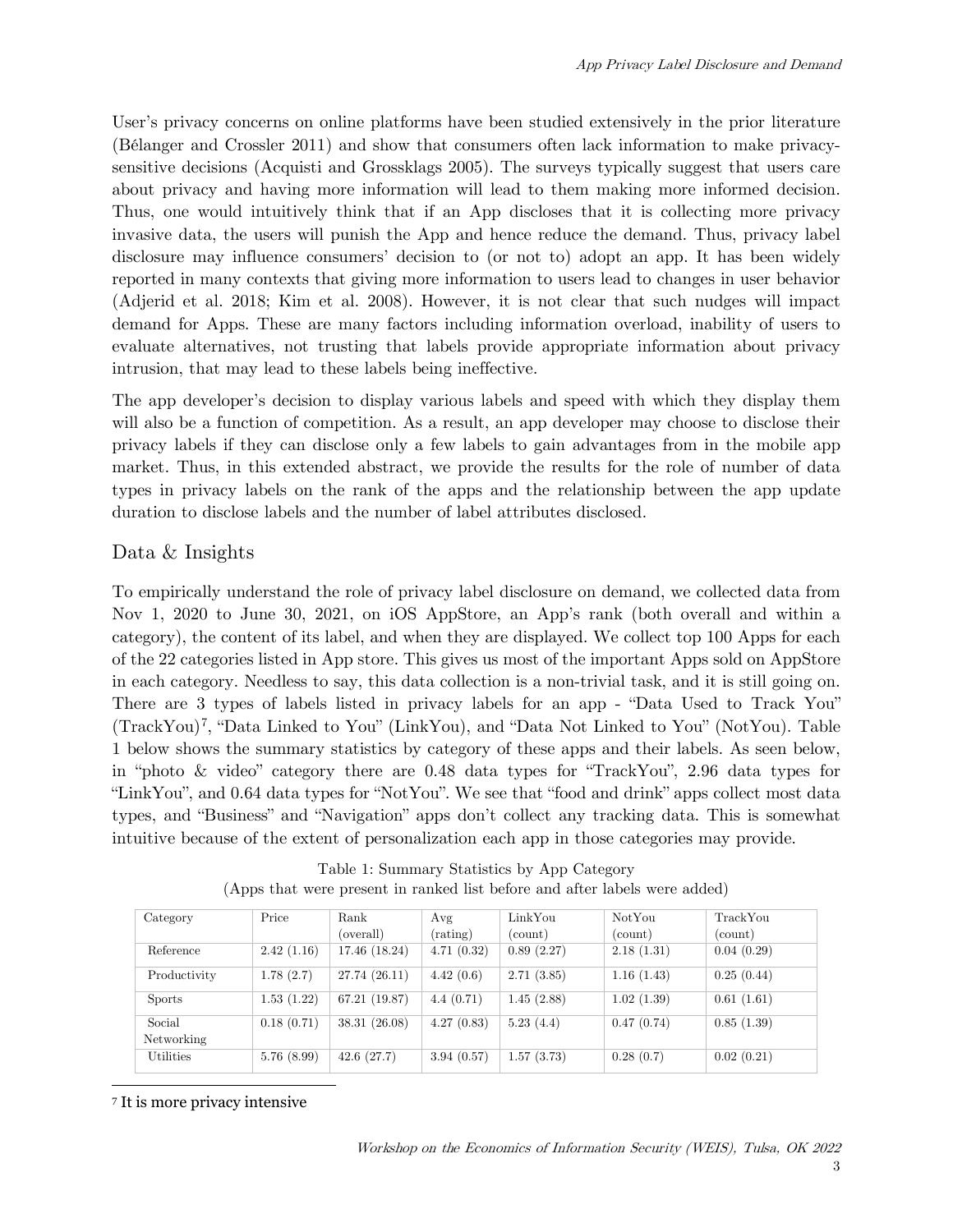User's privacy concerns on online platforms have been studied extensively in the prior literature (Bélanger and Crossler 2011) and show that consumers often lack information to make privacysensitive decisions (Acquisti and Grossklags 2005). The surveys typically suggest that users care about privacy and having more information will lead to them making more informed decision. Thus, one would intuitively think that if an App discloses that it is collecting more privacy invasive data, the users will punish the App and hence reduce the demand. Thus, privacy label disclosure may influence consumers' decision to (or not to) adopt an app. It has been widely reported in many contexts that giving more information to users lead to changes in user behavior (Adjerid et al. 2018; Kim et al. 2008). However, it is not clear that such nudges will impact demand for Apps. These are many factors including information overload, inability of users to evaluate alternatives, not trusting that labels provide appropriate information about privacy intrusion, that may lead to these labels being ineffective.

The app developer's decision to display various labels and speed with which they display them will also be a function of competition. As a result, an app developer may choose to disclose their privacy labels if they can disclose only a few labels to gain advantages from in the mobile app market. Thus, in this extended abstract, we provide the results for the role of number of data types in privacy labels on the rank of the apps and the relationship between the app update duration to disclose labels and the number of label attributes disclosed.

# Data & Insights

To empirically understand the role of privacy label disclosure on demand, we collected data from Nov 1, 2020 to June 30, 2021, on iOS AppStore, an App's rank (both overall and within a category), the content of its label, and when they are displayed. We collect top 100 Apps for each of the 22 categories listed in App store. This gives us most of the important Apps sold on AppStore in each category. Needless to say, this data collection is a non-trivial task, and it is still going on. There are 3 types of labels listed in privacy labels for an app - "Data Used to Track You" (TrackYou)[7](#page-2-0), "Data Linked to You" (LinkYou), and "Data Not Linked to You" (NotYou). Table 1 below shows the summary statistics by category of these apps and their labels. As seen below, in "photo & video" category there are 0.48 data types for "TrackYou", 2.96 data types for "LinkYou", and 0.64 data types for "NotYou". We see that "food and drink" apps collect most data types, and "Business" and "Navigation" apps don't collect any tracking data. This is somewhat intuitive because of the extent of personalization each app in those categories may provide.

| Category         | Price      | Rank          | Avg        | LinkYou    | Not You    | TrackYou   |
|------------------|------------|---------------|------------|------------|------------|------------|
|                  |            | (overall)     | (rating)   | (count)    | (count)    | (count)    |
| Reference        | 2.42(1.16) | 17.46 (18.24) | 4.71(0.32) | 0.89(2.27) | 2.18(1.31) | 0.04(0.29) |
| Productivity     | 1.78(2.7)  | 27.74(26.11)  | 4.42(0.6)  | 2.71(3.85) | 1.16(1.43) | 0.25(0.44) |
| <b>Sports</b>    | 1.53(1.22) | 67.21(19.87)  | 4.4(0.71)  | 1.45(2.88) | 1.02(1.39) | 0.61(1.61) |
| Social           | 0.18(0.71) | 38.31(26.08)  | 4.27(0.83) | 5.23(4.4)  | 0.47(0.74) | 0.85(1.39) |
| Networking       |            |               |            |            |            |            |
| <b>Utilities</b> | 5.76(8.99) | 42.6(27.7)    | 3.94(0.57) | 1.57(3.73) | 0.28(0.7)  | 0.02(0.21) |

Table 1: Summary Statistics by App Category (Apps that were present in ranked list before and after labels were added)

<span id="page-2-0"></span><sup>7</sup> It is more privacy intensive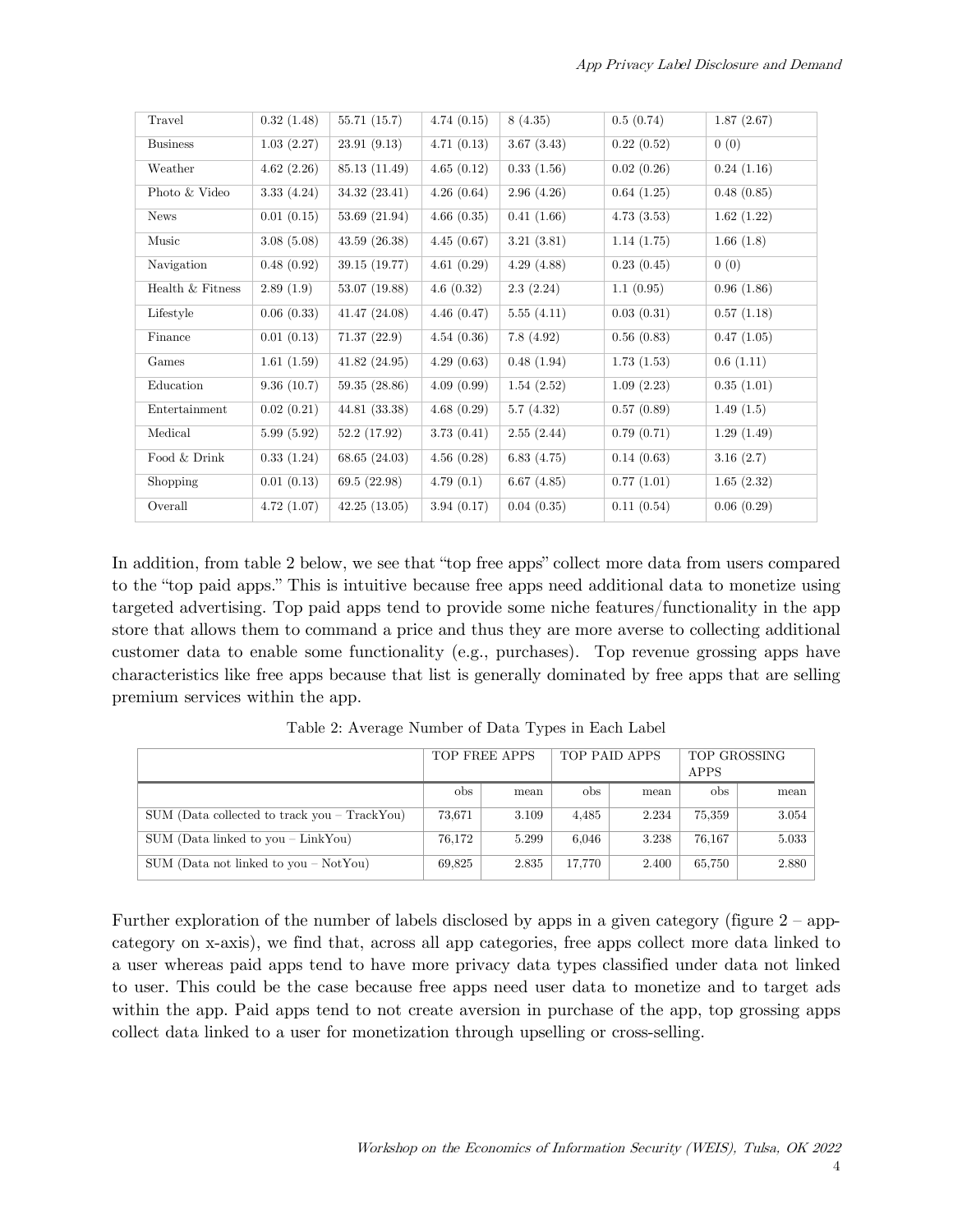| Travel           | 0.32(1.48) | 55.71(15.7)   | 4.74(0.15) | 8(4.35)    | 0.5(0.74)  | 1.87(2.67) |
|------------------|------------|---------------|------------|------------|------------|------------|
| <b>Business</b>  | 1.03(2.27) | 23.91(9.13)   | 4.71(0.13) | 3.67(3.43) | 0.22(0.52) | 0(0)       |
| Weather          | 4.62(2.26) | 85.13 (11.49) | 4.65(0.12) | 0.33(1.56) | 0.02(0.26) | 0.24(1.16) |
| Photo & Video    | 3.33(4.24) | 34.32 (23.41) | 4.26(0.64) | 2.96(4.26) | 0.64(1.25) | 0.48(0.85) |
| <b>News</b>      | 0.01(0.15) | 53.69 (21.94) | 4.66(0.35) | 0.41(1.66) | 4.73(3.53) | 1.62(1.22) |
| Music            | 3.08(5.08) | 43.59(26.38)  | 4.45(0.67) | 3.21(3.81) | 1.14(1.75) | 1.66(1.8)  |
| Navigation       | 0.48(0.92) | 39.15 (19.77) | 4.61(0.29) | 4.29(4.88) | 0.23(0.45) | 0(0)       |
| Health & Fitness | 2.89(1.9)  | 53.07 (19.88) | 4.6(0.32)  | 2.3(2.24)  | 1.1(0.95)  | 0.96(1.86) |
| Lifestyle        | 0.06(0.33) | 41.47(24.08)  | 4.46(0.47) | 5.55(4.11) | 0.03(0.31) | 0.57(1.18) |
| Finance          | 0.01(0.13) | 71.37(22.9)   | 4.54(0.36) | 7.8(4.92)  | 0.56(0.83) | 0.47(1.05) |
| Games            | 1.61(1.59) | 41.82(24.95)  | 4.29(0.63) | 0.48(1.94) | 1.73(1.53) | 0.6(1.11)  |
| Education        | 9.36(10.7) | 59.35 (28.86) | 4.09(0.99) | 1.54(2.52) | 1.09(2.23) | 0.35(1.01) |
| Entertainment    | 0.02(0.21) | 44.81 (33.38) | 4.68(0.29) | 5.7(4.32)  | 0.57(0.89) | 1.49(1.5)  |
| Medical          | 5.99(5.92) | 52.2 (17.92)  | 3.73(0.41) | 2.55(2.44) | 0.79(0.71) | 1.29(1.49) |
| Food & Drink     | 0.33(1.24) | 68.65 (24.03) | 4.56(0.28) | 6.83(4.75) | 0.14(0.63) | 3.16(2.7)  |
| Shopping         | 0.01(0.13) | 69.5(22.98)   | 4.79(0.1)  | 6.67(4.85) | 0.77(1.01) | 1.65(2.32) |
| Overall          | 4.72(1.07) | 42.25(13.05)  | 3.94(0.17) | 0.04(0.35) | 0.11(0.54) | 0.06(0.29) |

In addition, from table 2 below, we see that "top free apps" collect more data from users compared to the "top paid apps." This is intuitive because free apps need additional data to monetize using targeted advertising. Top paid apps tend to provide some niche features/functionality in the app store that allows them to command a price and thus they are more averse to collecting additional customer data to enable some functionality (e.g., purchases). Top revenue grossing apps have characteristics like free apps because that list is generally dominated by free apps that are selling premium services within the app.

|                                                  | TOP FREE APPS |       | TOP PAID APPS |       | TOP GROSSING<br>APPS |       |
|--------------------------------------------------|---------------|-------|---------------|-------|----------------------|-------|
|                                                  |               |       |               |       |                      |       |
|                                                  | obs           | mean  | obs           | mean  | <sub>obs</sub>       | mean  |
| $SUM$ (Data collected to track you $-$ TrackYou) | 73.671        | 3.109 | 4.485         | 2.234 | 75,359               | 3.054 |
| $SUM$ (Data linked to you – LinkYou)             | 76,172        | 5.299 | 6.046         | 3.238 | 76.167               | 5.033 |
| SUM (Data not linked to you $-$ NotYou)          | 69.825        | 2.835 | 17.770        | 2.400 | 65,750               | 2.880 |

Table 2: Average Number of Data Types in Each Label

Further exploration of the number of labels disclosed by apps in a given category (figure 2 – appcategory on x-axis), we find that, across all app categories, free apps collect more data linked to a user whereas paid apps tend to have more privacy data types classified under data not linked to user. This could be the case because free apps need user data to monetize and to target ads within the app. Paid apps tend to not create aversion in purchase of the app, top grossing apps collect data linked to a user for monetization through upselling or cross-selling.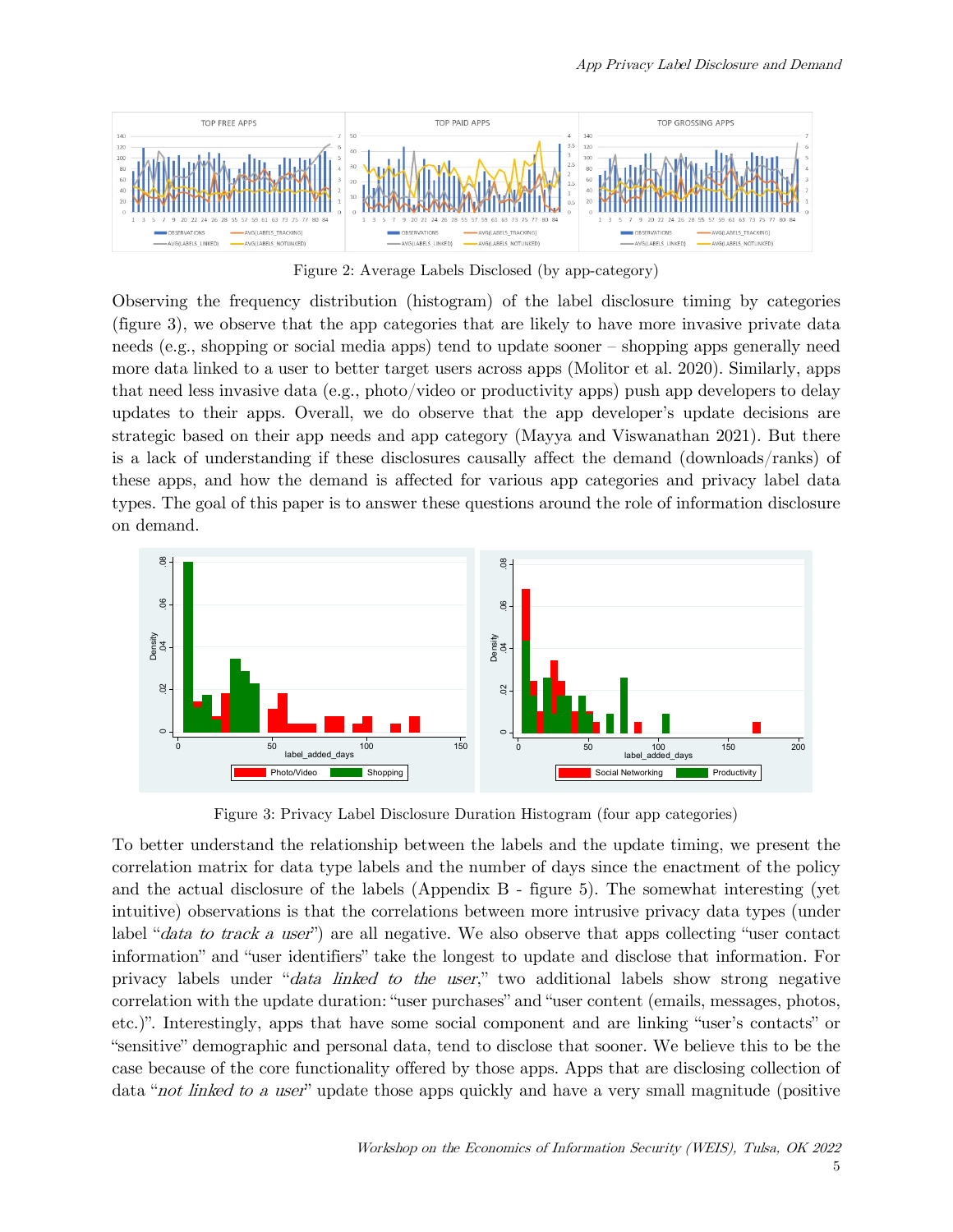

Figure 2: Average Labels Disclosed (by app-category)

Observing the frequency distribution (histogram) of the label disclosure timing by categories (figure 3), we observe that the app categories that are likely to have more invasive private data needs (e.g., shopping or social media apps) tend to update sooner – shopping apps generally need more data linked to a user to better target users across apps (Molitor et al. 2020). Similarly, apps that need less invasive data (e.g., photo/video or productivity apps) push app developers to delay updates to their apps. Overall, we do observe that the app developer's update decisions are strategic based on their app needs and app category (Mayya and Viswanathan 2021). But there is a lack of understanding if these disclosures causally affect the demand (downloads/ranks) of these apps, and how the demand is affected for various app categories and privacy label data types. The goal of this paper is to answer these questions around the role of information disclosure on demand.



Figure 3: Privacy Label Disclosure Duration Histogram (four app categories)

To better understand the relationship between the labels and the update timing, we present the correlation matrix for data type labels and the number of days since the enactment of the policy and the actual disclosure of the labels (Appendix B - figure 5). The somewhat interesting (yet intuitive) observations is that the correlations between more intrusive privacy data types (under label "*data to track a user*") are all negative. We also observe that apps collecting "user contact" information" and "user identifiers" take the longest to update and disclose that information. For privacy labels under "data linked to the user," two additional labels show strong negative correlation with the update duration: "user purchases" and "user content (emails, messages, photos, etc.)". Interestingly, apps that have some social component and are linking "user's contacts" or "sensitive" demographic and personal data, tend to disclose that sooner. We believe this to be the case because of the core functionality offered by those apps. Apps that are disclosing collection of data "*not linked to a user*" update those apps quickly and have a very small magnitude (positive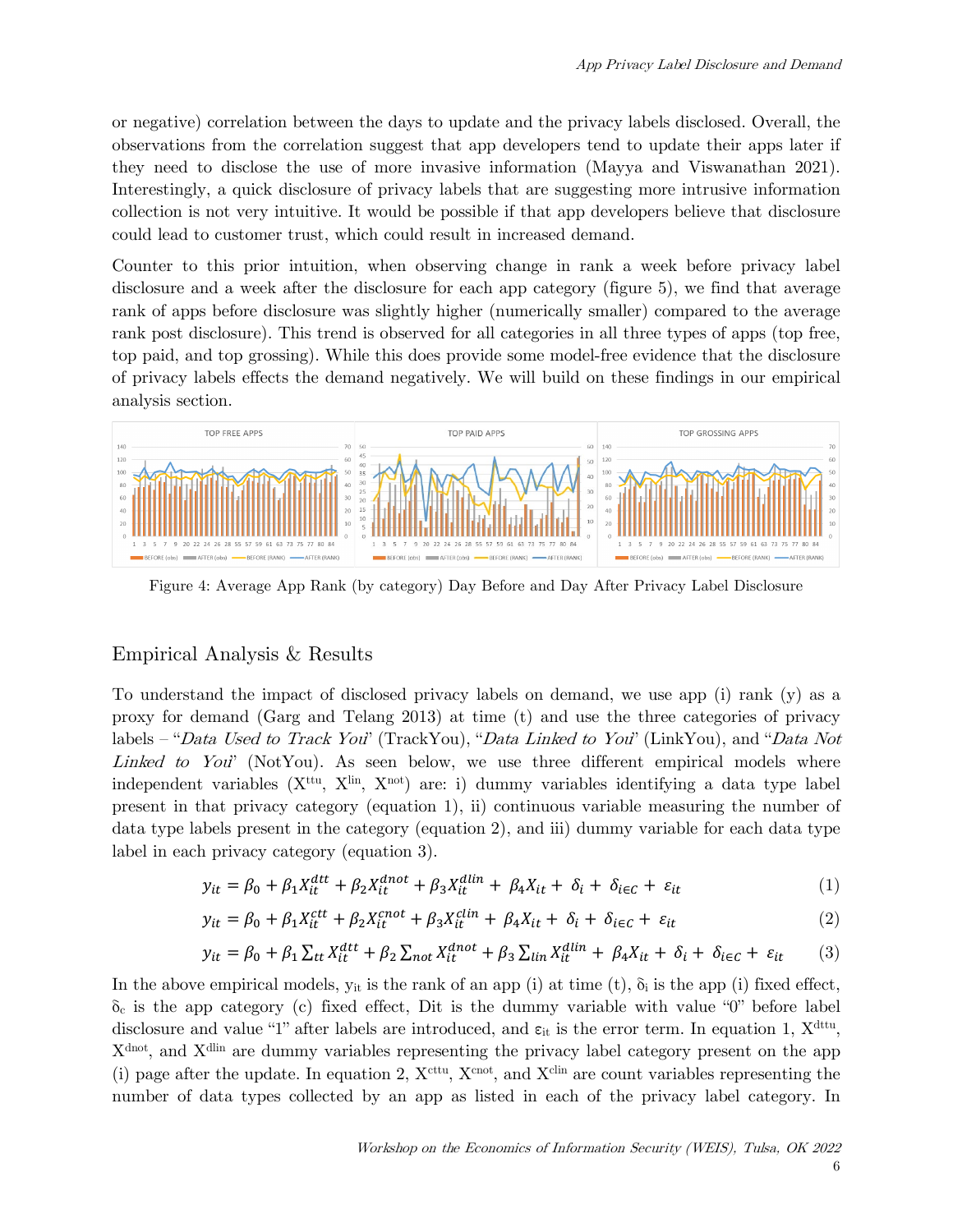or negative) correlation between the days to update and the privacy labels disclosed. Overall, the observations from the correlation suggest that app developers tend to update their apps later if they need to disclose the use of more invasive information (Mayya and Viswanathan 2021). Interestingly, a quick disclosure of privacy labels that are suggesting more intrusive information collection is not very intuitive. It would be possible if that app developers believe that disclosure could lead to customer trust, which could result in increased demand.

Counter to this prior intuition, when observing change in rank a week before privacy label disclosure and a week after the disclosure for each app category (figure 5), we find that average rank of apps before disclosure was slightly higher (numerically smaller) compared to the average rank post disclosure). This trend is observed for all categories in all three types of apps (top free, top paid, and top grossing). While this does provide some model-free evidence that the disclosure of privacy labels effects the demand negatively. We will build on these findings in our empirical analysis section.



Figure 4: Average App Rank (by category) Day Before and Day After Privacy Label Disclosure

#### Empirical Analysis & Results

To understand the impact of disclosed privacy labels on demand, we use app (i) rank (y) as a proxy for demand (Garg and Telang 2013) at time (t) and use the three categories of privacy labels – "Data Used to Track You" (TrackYou), "Data Linked to You" (LinkYou), and "Data Not Linked to You" (NotYou). As seen below, we use three different empirical models where independent variables  $(X<sup>ttu</sup>, X<sup>lin</sup>, X<sup>not</sup>)$  are: i) dummy variables identifying a data type label present in that privacy category (equation 1), ii) continuous variable measuring the number of data type labels present in the category (equation 2), and iii) dummy variable for each data type label in each privacy category (equation 3).

$$
y_{it} = \beta_0 + \beta_1 X_{it}^{dtt} + \beta_2 X_{it}^{dnot} + \beta_3 X_{it}^{dlin} + \beta_4 X_{it} + \delta_i + \delta_{i \in \mathcal{C}} + \varepsilon_{it}
$$
(1)

$$
y_{it} = \beta_0 + \beta_1 X_{it}^{ctt} + \beta_2 X_{it}^{cnot} + \beta_3 X_{it}^{clin} + \beta_4 X_{it} + \delta_i + \delta_{i\in\mathcal{C}} + \varepsilon_{it}
$$
 (2)

$$
y_{it} = \beta_0 + \beta_1 \sum_{tt} X_{it}^{dtt} + \beta_2 \sum_{not} X_{it}^{dnot} + \beta_3 \sum_{lin} X_{it}^{dlin} + \beta_4 X_{it} + \delta_i + \delta_{i \in C} + \varepsilon_{it} \tag{3}
$$

In the above empirical models,  $y_{it}$  is the rank of an app (i) at time (t),  $\delta_i$  is the app (i) fixed effect,  $\delta_c$  is the app category (c) fixed effect, Dit is the dummy variable with value "0" before label disclosure and value "1" after labels are introduced, and  $\varepsilon_{it}$  is the error term. In equation 1,  $X^{\text{dttu}}$ , Xdnot, and Xdlin are dummy variables representing the privacy label category present on the app (i) page after the update. In equation 2,  $X^{\text{cttu}}$ ,  $X^{\text{cnot}}$ , and  $X^{\text{clin}}$  are count variables representing the number of data types collected by an app as listed in each of the privacy label category. In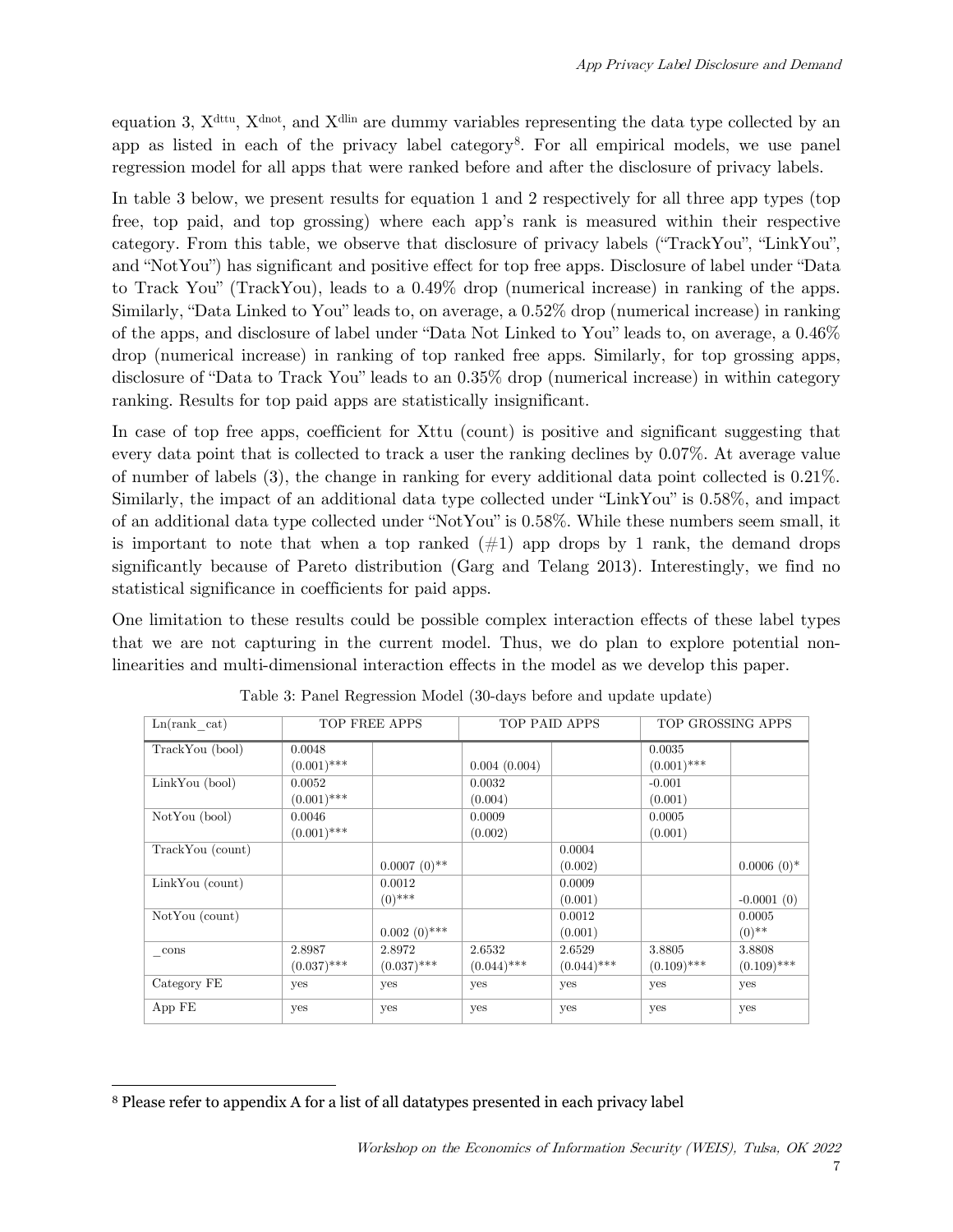equation 3,  $X^{\text{dttu}}$ ,  $X^{\text{dnot}}$ , and  $X^{\text{dlin}}$  are dummy variables representing the data type collected by an app as listed in each of the privacy label category[8](#page-6-0). For all empirical models, we use panel regression model for all apps that were ranked before and after the disclosure of privacy labels.

In table 3 below, we present results for equation 1 and 2 respectively for all three app types (top free, top paid, and top grossing) where each app's rank is measured within their respective category. From this table, we observe that disclosure of privacy labels ("TrackYou", "LinkYou", and "NotYou") has significant and positive effect for top free apps. Disclosure of label under "Data to Track You" (TrackYou), leads to a 0.49% drop (numerical increase) in ranking of the apps. Similarly, "Data Linked to You" leads to, on average, a 0.52% drop (numerical increase) in ranking of the apps, and disclosure of label under "Data Not Linked to You" leads to, on average, a 0.46% drop (numerical increase) in ranking of top ranked free apps. Similarly, for top grossing apps, disclosure of "Data to Track You" leads to an 0.35% drop (numerical increase) in within category ranking. Results for top paid apps are statistically insignificant.

In case of top free apps, coefficient for Xttu (count) is positive and significant suggesting that every data point that is collected to track a user the ranking declines by 0.07%. At average value of number of labels (3), the change in ranking for every additional data point collected is 0.21%. Similarly, the impact of an additional data type collected under "LinkYou" is 0.58%, and impact of an additional data type collected under "NotYou" is 0.58%. While these numbers seem small, it is important to note that when a top ranked  $(\#1)$  app drops by 1 rank, the demand drops significantly because of Pareto distribution (Garg and Telang 2013). Interestingly, we find no statistical significance in coefficients for paid apps.

One limitation to these results could be possible complex interaction effects of these label types that we are not capturing in the current model. Thus, we do plan to explore potential nonlinearities and multi-dimensional interaction effects in the model as we develop this paper.

| Ln(rank cat)     | TOP FREE APPS |                | TOP PAID APPS |               | TOP GROSSING APPS |               |
|------------------|---------------|----------------|---------------|---------------|-------------------|---------------|
| TrackYou (bool)  | 0.0048        |                |               |               | 0.0035            |               |
|                  | $(0.001)$ *** |                | 0.004(0.004)  |               | $(0.001)$ ***     |               |
| LinkYou (bool)   | 0.0052        |                | 0.0032        |               | $-0.001$          |               |
|                  | $(0.001)$ *** |                | (0.004)       |               | (0.001)           |               |
| NotYou (bool)    | 0.0046        |                | 0.0009        |               | 0.0005            |               |
|                  | $(0.001)$ *** |                | (0.002)       |               | (0.001)           |               |
| TrackYou (count) |               |                |               | 0.0004        |                   |               |
|                  |               | $0.0007(0)$ ** |               | (0.002)       |                   | $0.0006(0)$ * |
| LinkYou (count)  |               | 0.0012         |               | 0.0009        |                   |               |
|                  |               | $(0)$ ***      |               | (0.001)       |                   | $-0.0001(0)$  |
| NotYou (count)   |               |                |               | 0.0012        |                   | 0.0005        |
|                  |               | $0.002(0)$ *** |               | (0.001)       |                   | $(0)$ **      |
| $_{\rm -cons}$   | 2.8987        | 2.8972         | 2.6532        | 2.6529        | 3.8805            | 3.8808        |
|                  | $(0.037)$ *** | $(0.037)$ ***  | $(0.044)$ *** | $(0.044)$ *** | $(0.109)$ ***     | $(0.109)$ *** |
| Category FE      | yes           | yes            | yes           | yes           | yes               | yes           |
| App FE           | yes           | yes            | yes           | yes           | yes               | yes           |

Table 3: Panel Regression Model (30-days before and update update)

<span id="page-6-0"></span><sup>8</sup> Please refer to appendix A for a list of all datatypes presented in each privacy label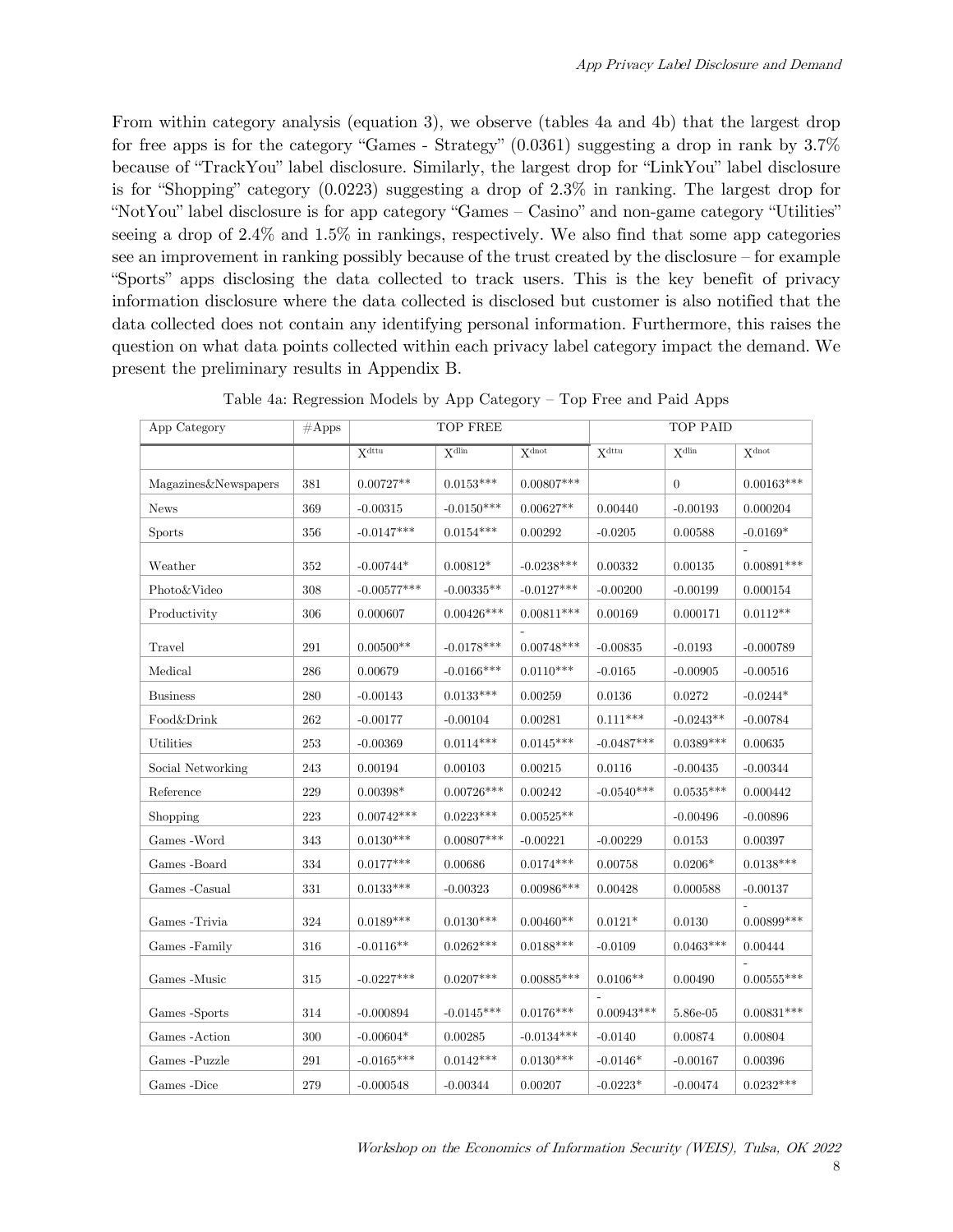From within category analysis (equation 3), we observe (tables 4a and 4b) that the largest drop for free apps is for the category "Games - Strategy"  $(0.0361)$  suggesting a drop in rank by  $3.7\%$ because of "TrackYou" label disclosure. Similarly, the largest drop for "LinkYou" label disclosure is for "Shopping" category (0.0223) suggesting a drop of 2.3% in ranking. The largest drop for "NotYou" label disclosure is for app category "Games – Casino" and non-game category "Utilities" seeing a drop of 2.4% and 1.5% in rankings, respectively. We also find that some app categories see an improvement in ranking possibly because of the trust created by the disclosure – for example "Sports" apps disclosing the data collected to track users. This is the key benefit of privacy information disclosure where the data collected is disclosed but customer is also notified that the data collected does not contain any identifying personal information. Furthermore, this raises the question on what data points collected within each privacy label category impact the demand. We present the preliminary results in Appendix B.

| App Category         | $\#\mathrm{Apps}$ | TOP FREE                     |                              |                      | TOP PAID                   |                            |                            |
|----------------------|-------------------|------------------------------|------------------------------|----------------------|----------------------------|----------------------------|----------------------------|
|                      |                   | $\overline{X^{\text{dttu}}}$ | $\overline{X^{\text{dlin}}}$ | X <sub>dot</sub>     | $\mathbf{X}^{\text{dttu}}$ | $\mathbf{X}^{\text{dlin}}$ | $\mathbf{X}^{\text{dnot}}$ |
| Magazines&Newspapers | 381               | $0.00727**$                  | $0.0153***$                  | $0.00807***$         |                            | $\overline{0}$             | $0.00163***$               |
| <b>News</b>          | 369               | $-0.00315$                   | $-0.0150***$                 | $0.00627^{\ast\ast}$ | 0.00440                    | $-0.00193$                 | 0.000204                   |
| <b>Sports</b>        | 356               | $-0.0147***$                 | $0.0154***$                  | 0.00292              | $-0.0205$                  | 0.00588                    | $-0.0169*$                 |
| Weather              | 352               | $-0.00744*$                  | $0.00812*$                   | $-0.0238***$         | 0.00332                    | 0.00135                    | $0.00891^{***}\;$          |
| Photo&Video          | 308               | $-0.00577***$                | $-0.00335**$                 | $-0.0127***$         | $-0.00200$                 | $-0.00199$                 | 0.000154                   |
| Productivity         | 306               | 0.000607                     | $0.00426***$                 | $0.00811***$         | 0.00169                    | 0.000171                   | $0.0112**$                 |
| Travel               | 291               | $0.00500**$                  | $-0.0178***$                 | $0.00748***$         | $-0.00835$                 | $-0.0193$                  | $-0.000789$                |
| Medical              | 286               | 0.00679                      | $-0.0166***$                 | $0.0110^{***}\,$     | $-0.0165$                  | $-0.00905$                 | $-0.00516$                 |
| <b>Business</b>      | 280               | $-0.00143$                   | $0.0133***$                  | 0.00259              | 0.0136                     | 0.0272                     | $-0.0244*$                 |
| Food&Drink           | 262               | $-0.00177$                   | $-0.00104$                   | 0.00281              | $0.111^{***}\;$            | $-0.0243**$                | $-0.00784$                 |
| Utilities            | 253               | $-0.00369$                   | $0.0114***$                  | $0.0145***$          | $-0.0487***$               | $0.0389***$                | 0.00635                    |
| Social Networking    | 243               | 0.00194                      | 0.00103                      | 0.00215              | 0.0116                     | $-0.00435$                 | $-0.00344$                 |
| Reference            | 229               | $0.00398^{\ast}$             | $0.00726***$                 | 0.00242              | $-0.0540***$               | $0.0535***$                | 0.000442                   |
| Shopping             | 223               | $0.00742***$                 | $0.0223***$                  | $0.00525**$          |                            | $-0.00496$                 | $-0.00896$                 |
| Games - Word         | 343               | $0.0130^{***}\,$             | $0.00807***$                 | $-0.00221$           | $-0.00229$                 | 0.0153                     | 0.00397                    |
| Games -Board         | 334               | $0.0177***$                  | 0.00686                      | $0.0174^{***}\;$     | 0.00758                    | $0.0206*$                  | $0.0138***$                |
| Games -Casual        | $331\,$           | $0.0133***$                  | $-0.00323$                   | $0.00986***$         | 0.00428                    | 0.000588                   | $-0.00137$                 |
| Games - Trivia       | 324               | $0.0189***$                  | $0.0130***$                  | $0.00460**$          | $0.0121*$                  | 0.0130                     | $0.00899$ ***              |
| Games -Family        | 316               | $-0.0116**$                  | $0.0262^{***}\,$             | $0.0188***$          | $-0.0109$                  | $0.0463^{***}\,$           | 0.00444                    |
| Games -Music         | $315\,$           | $-0.0227***$                 | $0.0207***$                  | $0.00885***$         | $0.0106**$                 | 0.00490                    | $0.00555***$               |
| Games -Sports        | 314               | $-0.000894$                  | $-0.0145***$                 | $0.0176***$          | $0.00943***$               | 5.86e-05                   | $0.00831^{***}\;$          |
| Games - Action       | $300\,$           | $-0.00604*$                  | $\,0.00285\,$                | $-0.0134***$         | $-0.0140$                  | 0.00874                    | 0.00804                    |
| Games -Puzzle        | 291               | $-0.0165***$                 | $0.0142***$                  | $0.0130***$          | $-0.0146*$                 | $-0.00167$                 | 0.00396                    |
| Games -Dice          | 279               | -0.000548                    | $-0.00344$                   | 0.00207              | $-0.0223*$                 | $-0.00474$                 | $0.0232***$                |

Table 4a: Regression Models by App Category – Top Free and Paid Apps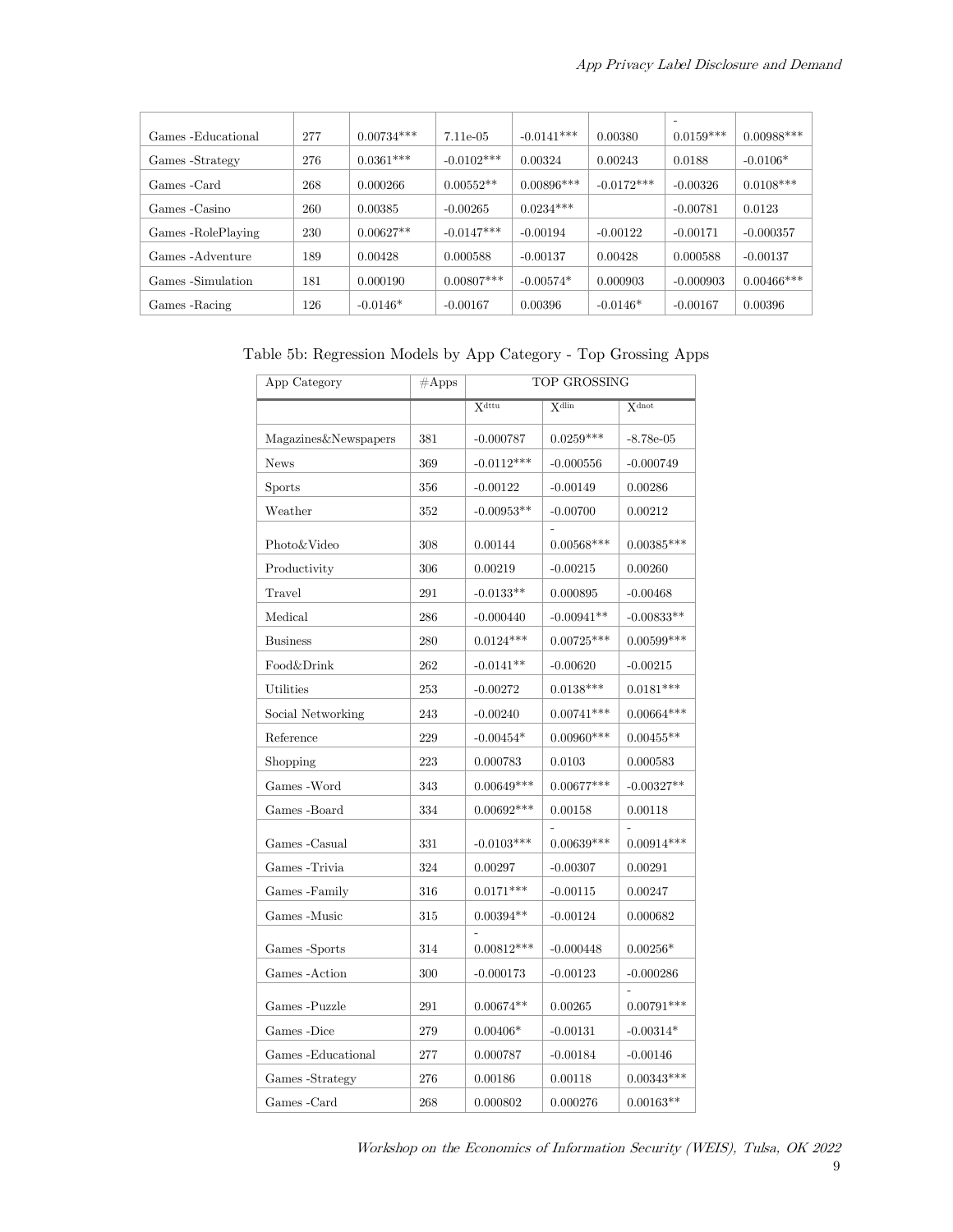| Games - Educational | 277 | $0.00734***$ | 7.11e-05     | $-0.0141***$ | 0.00380      | $\overline{\phantom{0}}$<br>$0.0159***$ | $0.00988***$  |
|---------------------|-----|--------------|--------------|--------------|--------------|-----------------------------------------|---------------|
| Games -Strategy     | 276 | $0.0361***$  | $-0.0102***$ | 0.00324      | 0.00243      | 0.0188                                  | $-0.0106*$    |
| Games -Card         | 268 | 0.000266     | $0.00552**$  | $0.00896***$ | $-0.0172***$ | $-0.00326$                              | $0.0108***$   |
| Games - Casino      | 260 | 0.00385      | $-0.00265$   | $0.0234***$  |              | $-0.00781$                              | 0.0123        |
| Games -RolePlaying  | 230 | $0.00627**$  | $-0.0147***$ | $-0.00194$   | $-0.00122$   | $-0.00171$                              | $-0.000357$   |
| Games - Adventure   | 189 | 0.00428      | 0.000588     | $-0.00137$   | 0.00428      | 0.000588                                | $-0.00137$    |
| Games -Simulation   | 181 | 0.000190     | $0.00807***$ | $-0.00574*$  | 0.000903     | $-0.000903$                             | $0.00466$ *** |
| Games - Racing      | 126 | $-0.0146*$   | $-0.00167$   | 0.00396      | $-0.0146*$   | $-0.00167$                              | 0.00396       |

Table 5b: Regression Models by App Category - Top Grossing Apps

| App Category         | $\#\mathrm{Apps}$ | TOP GROSSING  |                   |                   |  |  |
|----------------------|-------------------|---------------|-------------------|-------------------|--|--|
|                      |                   | <b>X</b> dttu | $X^{\text{dlin}}$ | $X^{\text{dnot}}$ |  |  |
| Magazines&Newspapers | 381               | $-0.000787$   | $0.0259***$       | $-8.78e-05$       |  |  |
| <b>News</b>          | 369               | $-0.0112***$  | $-0.000556$       | $-0.000749$       |  |  |
| <b>Sports</b>        | 356               | $-0.00122$    | $-0.00149$        | 0.00286           |  |  |
| Weather              | 352               | $-0.00953**$  | $-0.00700$        | 0.00212           |  |  |
| Photo&Video          | 308               | 0.00144       | $0.00568***$      | $0.00385***$      |  |  |
| Productivity         | 306               | 0.00219       | $-0.00215$        | 0.00260           |  |  |
| Travel               | 291               | $-0.0133**$   | 0.000895          | $-0.00468$        |  |  |
| Medical              | 286               | $-0.000440$   | $-0.00941**$      | $-0.00833**$      |  |  |
| <b>Business</b>      | 280               | $0.0124***$   | $0.00725***$      | $0.00599***$      |  |  |
| Food&Drink           | 262               | $-0.0141**$   | $-0.00620$        | $-0.00215$        |  |  |
| Utilities            | 253               | $-0.00272$    | $0.0138***$       | $0.0181***$       |  |  |
| Social Networking    | 243               | $-0.00240$    | $0.00741***$      | $0.00664***$      |  |  |
| Reference            | 229               | $-0.00454*$   | $0.00960***$      | $0.00455**$       |  |  |
| Shopping             | 223               | 0.000783      | 0.0103            | 0.000583          |  |  |
| Games - Word         | 343               | $0.00649***$  | $0.00677***$      | $-0.00327**$      |  |  |
| Games -Board         | 334               | $0.00692***$  | 0.00158           | 0.00118           |  |  |
| Games - Casual       | 331               | $-0.0103***$  | $0.00639***$      | $0.00914***$      |  |  |
| Games - Trivia       | 324               | 0.00297       | $-0.00307$        | 0.00291           |  |  |
| Games -Family        | 316               | $0.0171***$   | $-0.00115$        | 0.00247           |  |  |
| Games -Music         | 315               | $0.00394**$   | $-0.00124$        | 0.000682          |  |  |
| Games -Sports        | 314               | $0.00812***$  | $-0.000448$       | $0.00256*$        |  |  |
| Games - Action       | 300               | $-0.000173$   | $-0.00123$        | $-0.000286$       |  |  |
| Games -Puzzle        | 291               | $0.00674**$   | 0.00265           | $0.00791***$      |  |  |
| Games -Dice          | 279               | $0.00406*$    | $-0.00131$        | $-0.00314*$       |  |  |
| Games - Educational  | 277               | 0.000787      | $-0.00184$        | $-0.00146$        |  |  |
| Games -Strategy      | 276               | 0.00186       | 0.00118           | $0.00343***$      |  |  |
| Games -Card          | 268               | 0.000802      | 0.000276          | $0.00163**$       |  |  |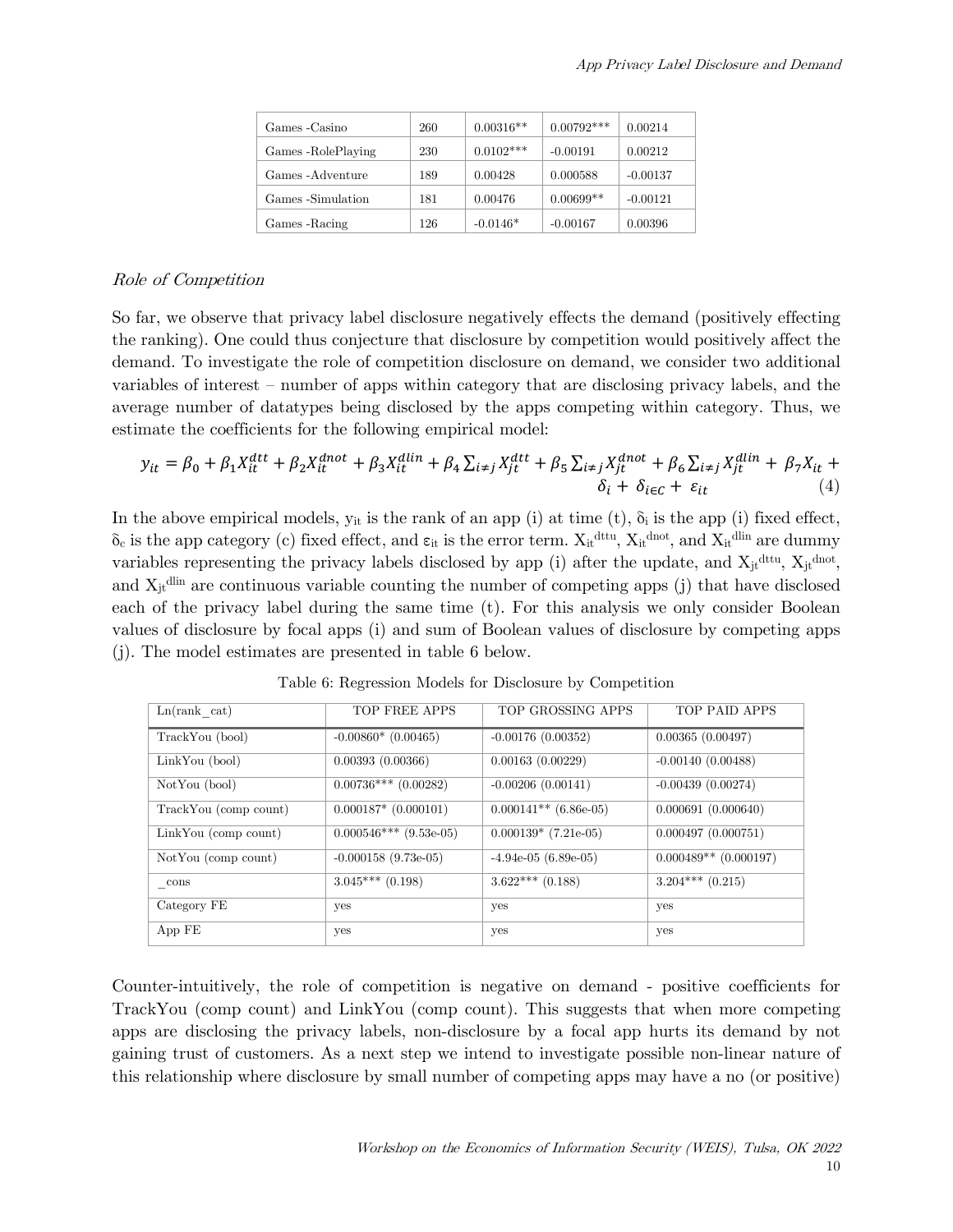| Games - Casino      | 260 | $0.00316**$ | $0.00792***$ | 0.00214    |
|---------------------|-----|-------------|--------------|------------|
| Games - RolePlaying | 230 | $0.0102***$ | $-0.00191$   | 0.00212    |
| Games - Adventure   | 189 | 0.00428     | 0.000588     | $-0.00137$ |
| Games -Simulation   | 181 | 0.00476     | $0.00699**$  | $-0.00121$ |
| Games - Racing      | 126 | $-0.0146*$  | $-0.00167$   | 0.00396    |

#### Role of Competition

So far, we observe that privacy label disclosure negatively effects the demand (positively effecting the ranking). One could thus conjecture that disclosure by competition would positively affect the demand. To investigate the role of competition disclosure on demand, we consider two additional variables of interest – number of apps within category that are disclosing privacy labels, and the average number of datatypes being disclosed by the apps competing within category. Thus, we estimate the coefficients for the following empirical model:

$$
y_{it} = \beta_0 + \beta_1 X_{it}^{dtt} + \beta_2 X_{it}^{dnot} + \beta_3 X_{it}^{dlin} + \beta_4 \sum_{i \neq j} X_{jt}^{dtt} + \beta_5 \sum_{i \neq j} X_{jt}^{dnot} + \beta_6 \sum_{i \neq j} X_{jt}^{dlin} + \beta_7 X_{it} + \delta_i + \delta_i \sum_{i \neq j} X_{it}^{dlin}
$$
\n
$$
(4)
$$

In the above empirical models,  $y_{it}$  is the rank of an app (i) at time (t),  $\delta_i$  is the app (i) fixed effect,  $\delta_c$  is the app category (c) fixed effect, and  $\varepsilon_{it}$  is the error term.  $X_{it}^{dttu}$ ,  $X_{it}^{dnot}$ , and  $X_{it}^{dlin}$  are dummy variables representing the privacy labels disclosed by app (i) after the update, and  $X_{jt}^{dttu}$ ,  $X_{jt}^{dnot}$ , and  $X_{it}$ <sup>dlin</sup> are continuous variable counting the number of competing apps (j) that have disclosed each of the privacy label during the same time (t). For this analysis we only consider Boolean values of disclosure by focal apps (i) and sum of Boolean values of disclosure by competing apps (j). The model estimates are presented in table 6 below.

| Ln(rank cat)          | <b>TOP FREE APPS</b>     | TOP GROSSING APPS       | TOP PAID APPS           |
|-----------------------|--------------------------|-------------------------|-------------------------|
| TrackYou (bool)       | $-0.00860*$ (0.00465)    | $-0.00176(0.00352)$     | 0.00365(0.00497)        |
| LinkYou (bool)        | 0.00393(0.00366)         | 0.00163(0.00229)        | $-0.00140(0.00488)$     |
| NotYou (bool)         | $0.00736***$ (0.00282)   | $-0.00206(0.00141)$     | $-0.00439(0.00274)$     |
| TrackYou (comp count) | $0.000187*$ (0.000101)   | $0.000141**$ (6.86e-05) | 0.000691(0.000640)      |
| LinkYou (comp count)  | $0.000546***$ (9.53e-05) | $0.000139*$ (7.21e-05)  | 0.000497(0.000751)      |
| NotYou (comp count)   | $-0.000158$ (9.73e-05)   | $-4.94e-05$ (6.89e-05)  | $0.000489**$ (0.000197) |
| cons                  | $3.045***$ (0.198)       | $3.622***$ (0.188)      | $3.204***$ $(0.215)$    |
| Category FE           | yes                      | yes                     | yes                     |
| App FE                | yes                      | yes                     | yes                     |

Table 6: Regression Models for Disclosure by Competition

Counter-intuitively, the role of competition is negative on demand - positive coefficients for TrackYou (comp count) and LinkYou (comp count). This suggests that when more competing apps are disclosing the privacy labels, non-disclosure by a focal app hurts its demand by not gaining trust of customers. As a next step we intend to investigate possible non-linear nature of this relationship where disclosure by small number of competing apps may have a no (or positive)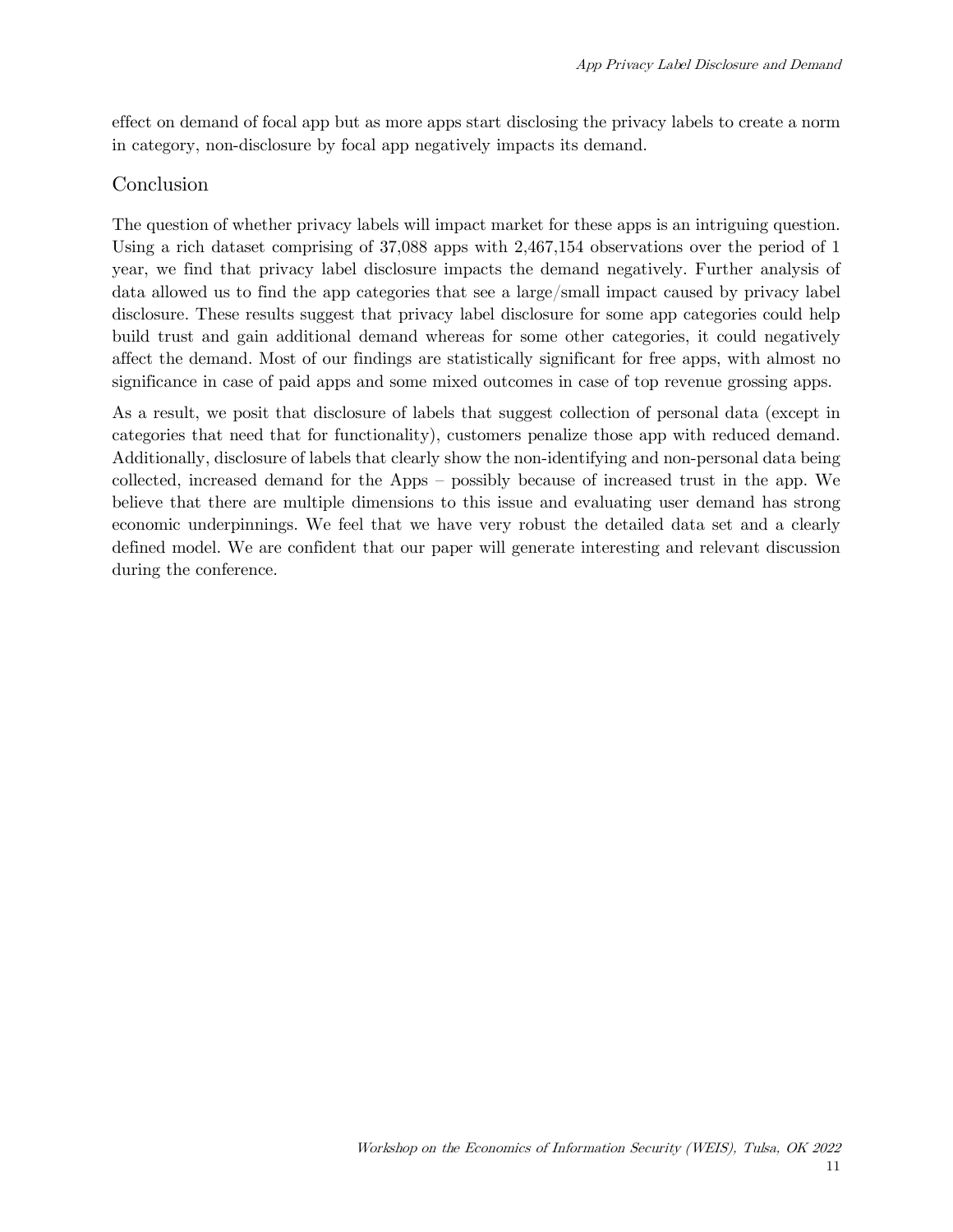effect on demand of focal app but as more apps start disclosing the privacy labels to create a norm in category, non-disclosure by focal app negatively impacts its demand.

### Conclusion

The question of whether privacy labels will impact market for these apps is an intriguing question. Using a rich dataset comprising of 37,088 apps with 2,467,154 observations over the period of 1 year, we find that privacy label disclosure impacts the demand negatively. Further analysis of data allowed us to find the app categories that see a large/small impact caused by privacy label disclosure. These results suggest that privacy label disclosure for some app categories could help build trust and gain additional demand whereas for some other categories, it could negatively affect the demand. Most of our findings are statistically significant for free apps, with almost no significance in case of paid apps and some mixed outcomes in case of top revenue grossing apps.

As a result, we posit that disclosure of labels that suggest collection of personal data (except in categories that need that for functionality), customers penalize those app with reduced demand. Additionally, disclosure of labels that clearly show the non-identifying and non-personal data being collected, increased demand for the Apps – possibly because of increased trust in the app. We believe that there are multiple dimensions to this issue and evaluating user demand has strong economic underpinnings. We feel that we have very robust the detailed data set and a clearly defined model. We are confident that our paper will generate interesting and relevant discussion during the conference.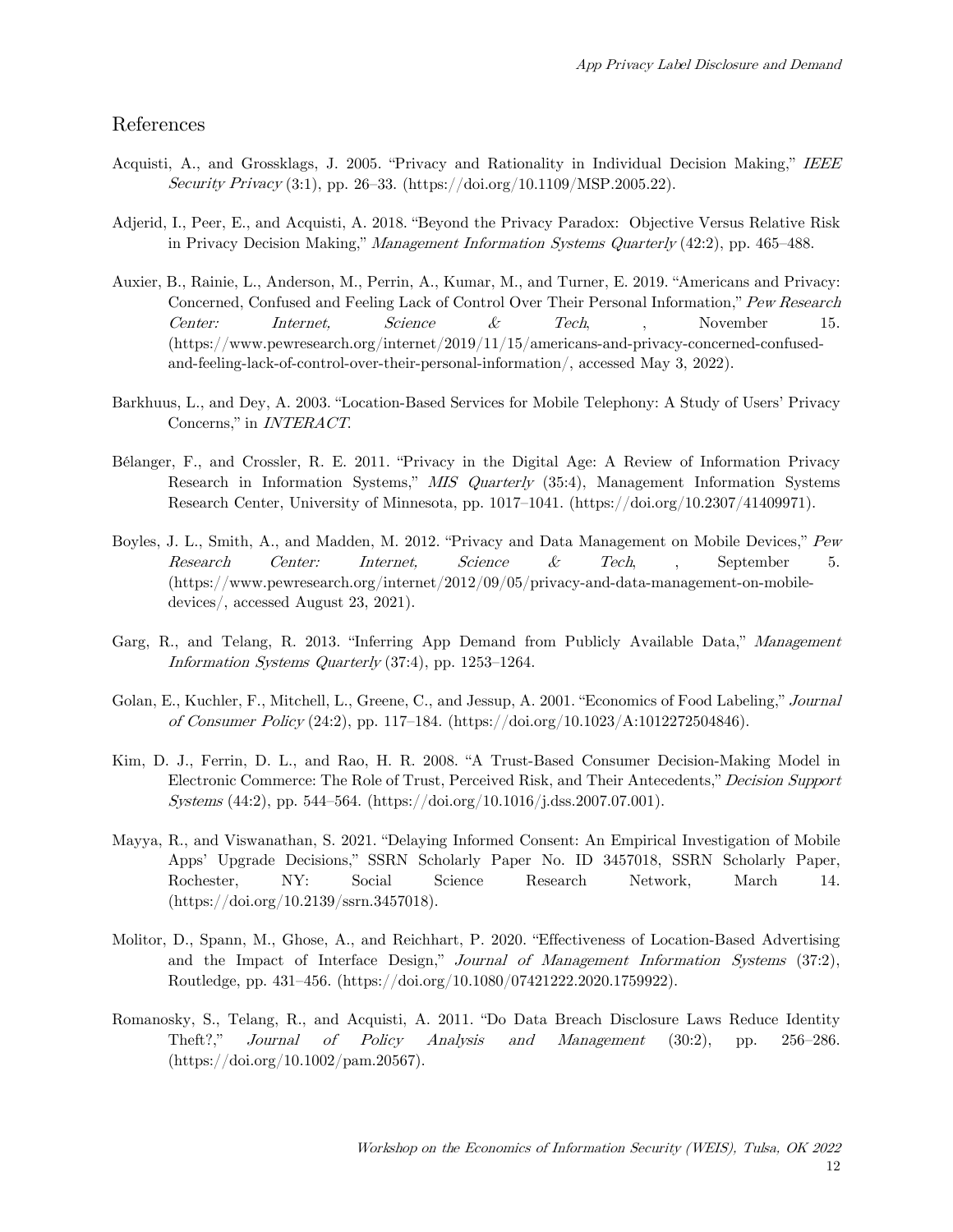#### References

- Acquisti, A., and Grossklags, J. 2005. "Privacy and Rationality in Individual Decision Making," IEEE Security Privacy  $(3:1)$ , pp. 26–33. (https://doi.org/10.1109/MSP.2005.22).
- Adjerid, I., Peer, E., and Acquisti, A. 2018. "Beyond the Privacy Paradox: Objective Versus Relative Risk in Privacy Decision Making," Management Information Systems Quarterly (42:2), pp. 465–488.
- Auxier, B., Rainie, L., Anderson, M., Perrin, A., Kumar, M., and Turner, E. 2019. "Americans and Privacy: Concerned, Confused and Feeling Lack of Control Over Their Personal Information," Pew Research Center: Internet, Science & Tech, , November 15. (https://www.pewresearch.org/internet/2019/11/15/americans-and-privacy-concerned-confusedand-feeling-lack-of-control-over-their-personal-information/, accessed May 3, 2022).
- Barkhuus, L., and Dey, A. 2003. "Location-Based Services for Mobile Telephony: A Study of Users' Privacy Concerns," in INTERACT.
- Bélanger, F., and Crossler, R. E. 2011. "Privacy in the Digital Age: A Review of Information Privacy Research in Information Systems," MIS Quarterly (35:4), Management Information Systems Research Center, University of Minnesota, pp. 1017–1041. (https://doi.org/10.2307/41409971).
- Boyles, J. L., Smith, A., and Madden, M. 2012. "Privacy and Data Management on Mobile Devices," Pew Research Center: Internet, Science & Tech, , September 5. (https://www.pewresearch.org/internet/2012/09/05/privacy-and-data-management-on-mobiledevices/, accessed August 23, 2021).
- Garg, R., and Telang, R. 2013. "Inferring App Demand from Publicly Available Data," Management Information Systems Quarterly (37:4), pp. 1253–1264.
- Golan, E., Kuchler, F., Mitchell, L., Greene, C., and Jessup, A. 2001. "Economics of Food Labeling," Journal of Consumer Policy (24:2), pp. 117–184. (https://doi.org/10.1023/A:1012272504846).
- Kim, D. J., Ferrin, D. L., and Rao, H. R. 2008. "A Trust-Based Consumer Decision-Making Model in Electronic Commerce: The Role of Trust, Perceived Risk, and Their Antecedents," Decision Support Systems (44:2), pp. 544–564. (https://doi.org/10.1016/j.dss.2007.07.001).
- Mayya, R., and Viswanathan, S. 2021. "Delaying Informed Consent: An Empirical Investigation of Mobile Apps' Upgrade Decisions," SSRN Scholarly Paper No. ID 3457018, SSRN Scholarly Paper, Rochester, NY: Social Science Research Network, March 14. (https://doi.org/10.2139/ssrn.3457018).
- Molitor, D., Spann, M., Ghose, A., and Reichhart, P. 2020. "Effectiveness of Location-Based Advertising and the Impact of Interface Design," Journal of Management Information Systems (37:2), Routledge, pp. 431–456. (https://doi.org/10.1080/07421222.2020.1759922).
- Romanosky, S., Telang, R., and Acquisti, A. 2011. "Do Data Breach Disclosure Laws Reduce Identity Theft?," Journal of Policy Analysis and Management (30:2), pp. 256–286. (https://doi.org/10.1002/pam.20567).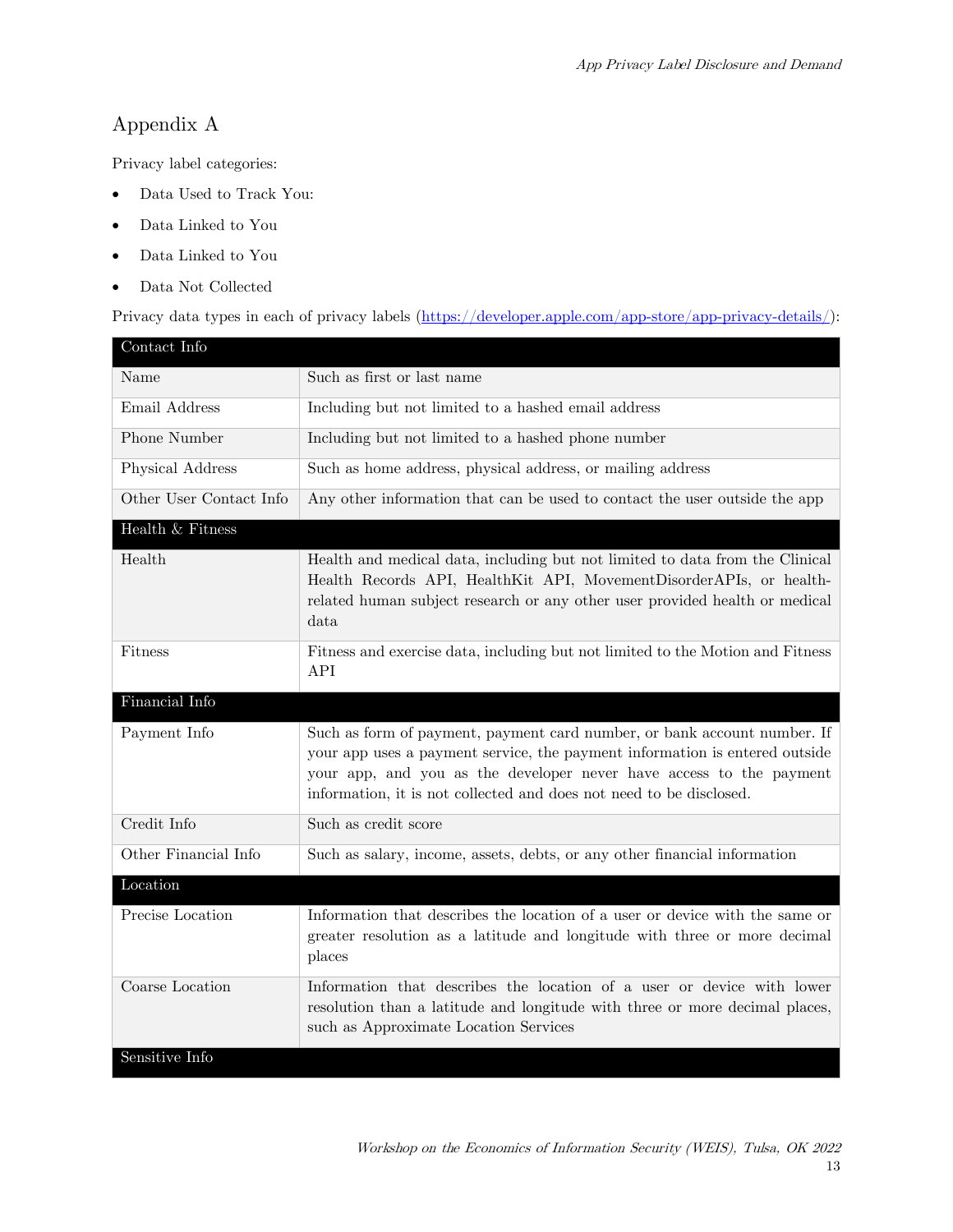# Appendix A

Privacy label categories:

- Data Used to Track You:
- Data Linked to You
- Data Linked to You
- Data Not Collected

Privacy data types in each of privacy labels [\(https://developer.apple.com/app-store/app-privacy-details/\)](https://developer.apple.com/app-store/app-privacy-details/):

| Contact Info            |                                                                                                                                                                                                                                                                                                       |
|-------------------------|-------------------------------------------------------------------------------------------------------------------------------------------------------------------------------------------------------------------------------------------------------------------------------------------------------|
| Name                    | Such as first or last name                                                                                                                                                                                                                                                                            |
| Email Address           | Including but not limited to a hashed email address                                                                                                                                                                                                                                                   |
| Phone Number            | Including but not limited to a hashed phone number                                                                                                                                                                                                                                                    |
| Physical Address        | Such as home address, physical address, or mailing address                                                                                                                                                                                                                                            |
| Other User Contact Info | Any other information that can be used to contact the user outside the app                                                                                                                                                                                                                            |
| Health & Fitness        |                                                                                                                                                                                                                                                                                                       |
| Health                  | Health and medical data, including but not limited to data from the Clinical<br>Health Records API, HealthKit API, MovementDisorderAPIs, or health-<br>related human subject research or any other user provided health or medical<br>data                                                            |
| <b>Fitness</b>          | Fitness and exercise data, including but not limited to the Motion and Fitness<br><b>API</b>                                                                                                                                                                                                          |
| Financial Info          |                                                                                                                                                                                                                                                                                                       |
| Payment Info            | Such as form of payment, payment card number, or bank account number. If<br>your app uses a payment service, the payment information is entered outside<br>your app, and you as the developer never have access to the payment<br>information, it is not collected and does not need to be disclosed. |
| Credit Info             | Such as credit score                                                                                                                                                                                                                                                                                  |
| Other Financial Info    | Such as salary, income, assets, debts, or any other financial information                                                                                                                                                                                                                             |
| Location                |                                                                                                                                                                                                                                                                                                       |
| Precise Location        | Information that describes the location of a user or device with the same or<br>greater resolution as a latitude and longitude with three or more decimal<br>places                                                                                                                                   |
| Coarse Location         | Information that describes the location of a user or device with lower<br>resolution than a latitude and longitude with three or more decimal places,<br>such as Approximate Location Services                                                                                                        |
| Sensitive Info          |                                                                                                                                                                                                                                                                                                       |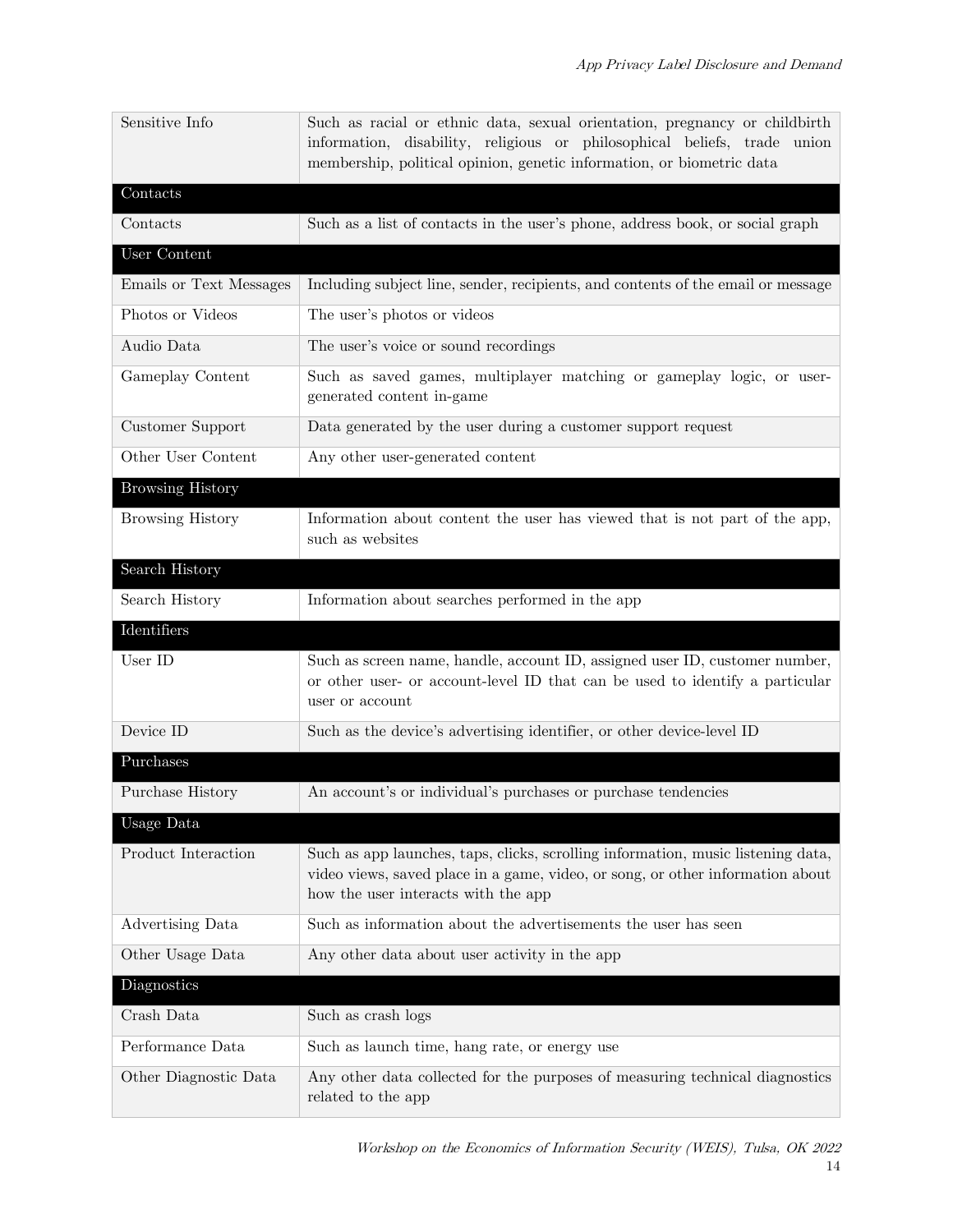| Sensitive Info          | Such as racial or ethnic data, sexual orientation, pregnancy or childbirth<br>information, disability, religious or philosophical beliefs, trade union<br>membership, political opinion, genetic information, or biometric data |
|-------------------------|---------------------------------------------------------------------------------------------------------------------------------------------------------------------------------------------------------------------------------|
| Contacts                |                                                                                                                                                                                                                                 |
| Contacts                | Such as a list of contacts in the user's phone, address book, or social graph                                                                                                                                                   |
| User Content            |                                                                                                                                                                                                                                 |
| Emails or Text Messages | Including subject line, sender, recipients, and contents of the email or message                                                                                                                                                |
| Photos or Videos        | The user's photos or videos                                                                                                                                                                                                     |
| Audio Data              | The user's voice or sound recordings                                                                                                                                                                                            |
| Gameplay Content        | Such as saved games, multiplayer matching or gameplay logic, or user-<br>generated content in-game                                                                                                                              |
| Customer Support        | Data generated by the user during a customer support request                                                                                                                                                                    |
| Other User Content      | Any other user-generated content                                                                                                                                                                                                |
| <b>Browsing History</b> |                                                                                                                                                                                                                                 |
| <b>Browsing History</b> | Information about content the user has viewed that is not part of the app,<br>such as websites                                                                                                                                  |
| Search History          |                                                                                                                                                                                                                                 |
| Search History          | Information about searches performed in the app                                                                                                                                                                                 |
| Identifiers             |                                                                                                                                                                                                                                 |
|                         |                                                                                                                                                                                                                                 |
| User ID                 | Such as screen name, handle, account ID, assigned user ID, customer number,<br>or other user- or account-level ID that can be used to identify a particular<br>user or account                                                  |
| Device ID               | Such as the device's advertising identifier, or other device-level ID                                                                                                                                                           |
| Purchases               |                                                                                                                                                                                                                                 |
| Purchase History        | An account's or individual's purchases or purchase tendencies                                                                                                                                                                   |
| Usage Data              |                                                                                                                                                                                                                                 |
| Product Interaction     | Such as app launches, taps, clicks, scrolling information, music listening data,<br>video views, saved place in a game, video, or song, or other information about<br>how the user interacts with the app                       |
| Advertising Data        | Such as information about the advertisements the user has seen                                                                                                                                                                  |
| Other Usage Data        | Any other data about user activity in the app                                                                                                                                                                                   |
| Diagnostics             |                                                                                                                                                                                                                                 |
| Crash Data              | Such as crash logs                                                                                                                                                                                                              |
| Performance Data        | Such as launch time, hang rate, or energy use                                                                                                                                                                                   |